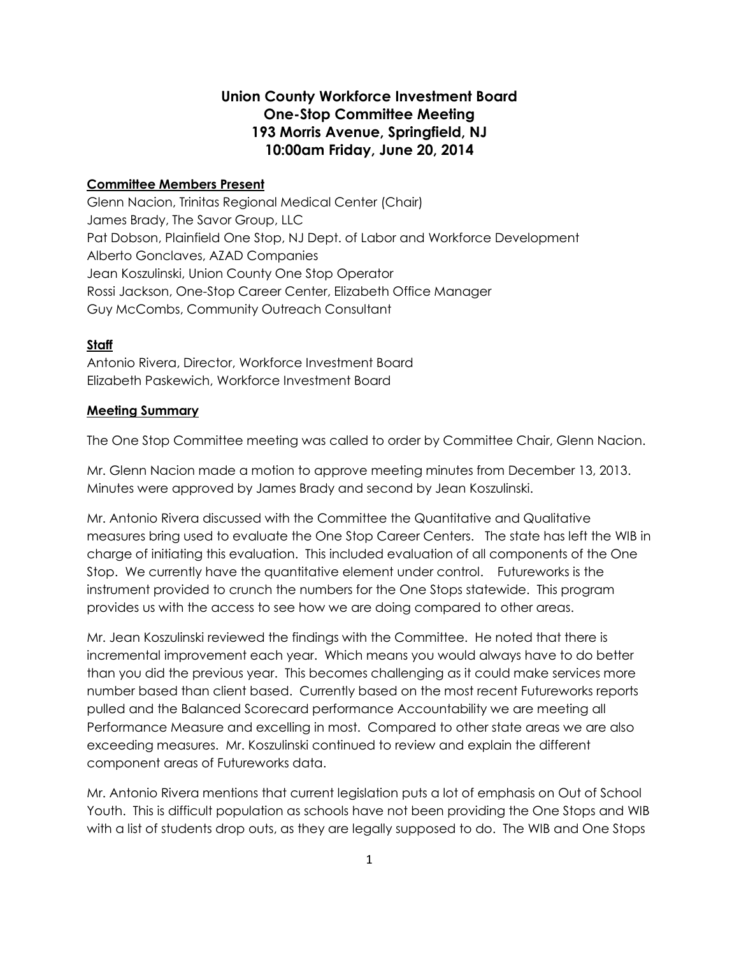## **Union County Workforce Investment Board One-Stop Committee Meeting 193 Morris Avenue, Springfield, NJ 10:00am Friday, June 20, 2014**

## **Committee Members Present**

Glenn Nacion, Trinitas Regional Medical Center (Chair) James Brady, The Savor Group, LLC Pat Dobson, Plainfield One Stop, NJ Dept. of Labor and Workforce Development Alberto Gonclaves, AZAD Companies Jean Koszulinski, Union County One Stop Operator Rossi Jackson, One-Stop Career Center, Elizabeth Office Manager Guy McCombs, Community Outreach Consultant

## **Staff**

Antonio Rivera, Director, Workforce Investment Board Elizabeth Paskewich, Workforce Investment Board

## **Meeting Summary**

The One Stop Committee meeting was called to order by Committee Chair, Glenn Nacion.

Mr. Glenn Nacion made a motion to approve meeting minutes from December 13, 2013. Minutes were approved by James Brady and second by Jean Koszulinski.

Mr. Antonio Rivera discussed with the Committee the Quantitative and Qualitative measures bring used to evaluate the One Stop Career Centers. The state has left the WIB in charge of initiating this evaluation. This included evaluation of all components of the One Stop. We currently have the quantitative element under control. Futureworks is the instrument provided to crunch the numbers for the One Stops statewide. This program provides us with the access to see how we are doing compared to other areas.

Mr. Jean Koszulinski reviewed the findings with the Committee. He noted that there is incremental improvement each year. Which means you would always have to do better than you did the previous year. This becomes challenging as it could make services more number based than client based. Currently based on the most recent Futureworks reports pulled and the Balanced Scorecard performance Accountability we are meeting all Performance Measure and excelling in most. Compared to other state areas we are also exceeding measures. Mr. Koszulinski continued to review and explain the different component areas of Futureworks data.

Mr. Antonio Rivera mentions that current legislation puts a lot of emphasis on Out of School Youth. This is difficult population as schools have not been providing the One Stops and WIB with a list of students drop outs, as they are legally supposed to do. The WIB and One Stops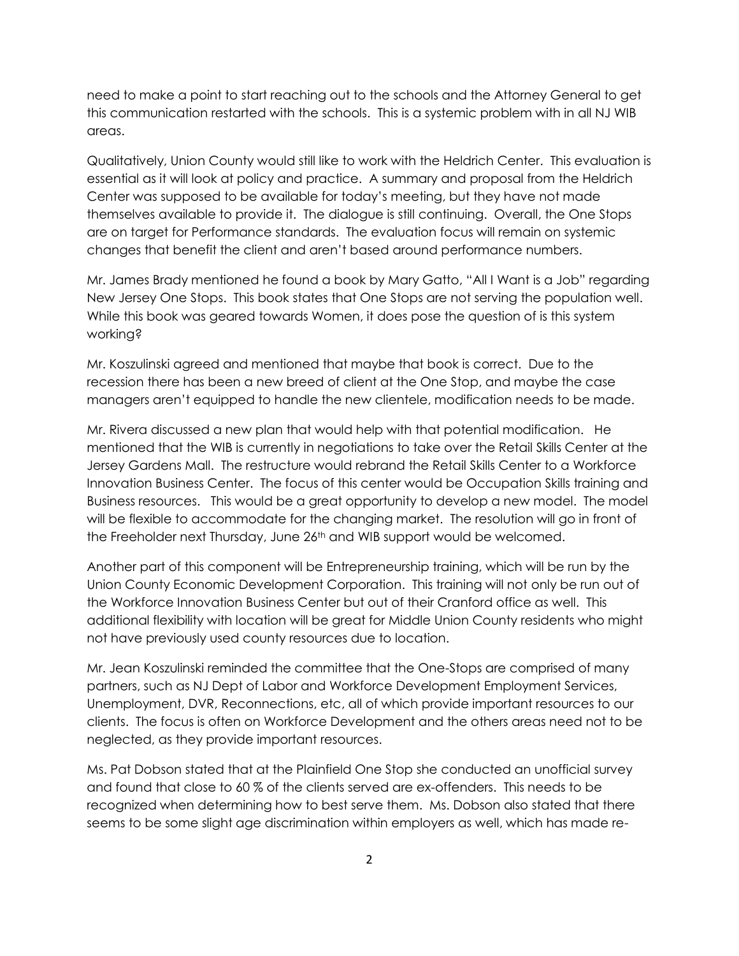need to make a point to start reaching out to the schools and the Attorney General to get this communication restarted with the schools. This is a systemic problem with in all NJ WIB areas.

Qualitatively, Union County would still like to work with the Heldrich Center. This evaluation is essential as it will look at policy and practice. A summary and proposal from the Heldrich Center was supposed to be available for today's meeting, but they have not made themselves available to provide it. The dialogue is still continuing. Overall, the One Stops are on target for Performance standards. The evaluation focus will remain on systemic changes that benefit the client and aren't based around performance numbers.

Mr. James Brady mentioned he found a book by Mary Gatto, "All I Want is a Job" regarding New Jersey One Stops. This book states that One Stops are not serving the population well. While this book was geared towards Women, it does pose the question of is this system working?

Mr. Koszulinski agreed and mentioned that maybe that book is correct. Due to the recession there has been a new breed of client at the One Stop, and maybe the case managers aren't equipped to handle the new clientele, modification needs to be made.

Mr. Rivera discussed a new plan that would help with that potential modification. He mentioned that the WIB is currently in negotiations to take over the Retail Skills Center at the Jersey Gardens Mall. The restructure would rebrand the Retail Skills Center to a Workforce Innovation Business Center. The focus of this center would be Occupation Skills training and Business resources. This would be a great opportunity to develop a new model. The model will be flexible to accommodate for the changing market. The resolution will go in front of the Freeholder next Thursday, June 26<sup>th</sup> and WIB support would be welcomed.

Another part of this component will be Entrepreneurship training, which will be run by the Union County Economic Development Corporation. This training will not only be run out of the Workforce Innovation Business Center but out of their Cranford office as well. This additional flexibility with location will be great for Middle Union County residents who might not have previously used county resources due to location.

Mr. Jean Koszulinski reminded the committee that the One-Stops are comprised of many partners, such as NJ Dept of Labor and Workforce Development Employment Services, Unemployment, DVR, Reconnections, etc, all of which provide important resources to our clients. The focus is often on Workforce Development and the others areas need not to be neglected, as they provide important resources.

Ms. Pat Dobson stated that at the Plainfield One Stop she conducted an unofficial survey and found that close to 60 % of the clients served are ex-offenders. This needs to be recognized when determining how to best serve them. Ms. Dobson also stated that there seems to be some slight age discrimination within employers as well, which has made re